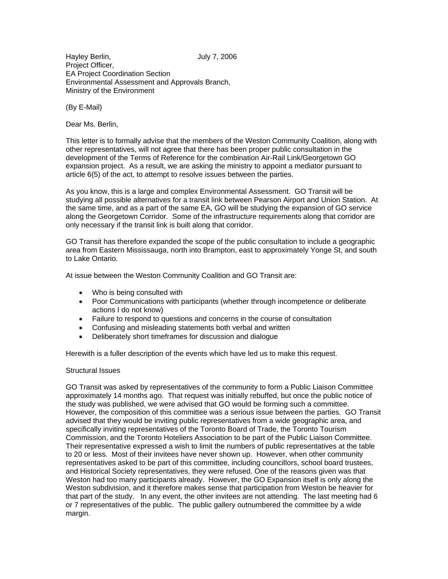Hayley Berlin, Sandy 7, 2006 Project Officer, EA Project Coordination Section Environmental Assessment and Approvals Branch, Ministry of the Environment

(By E-Mail)

Dear Ms. Berlin,

This letter is to formally advise that the members of the Weston Community Coalition, along with other representatives, will not agree that there has been proper public consultation in the development of the Terms of Reference for the combination Air-Rail Link/Georgetown GO expansion project. As a result, we are asking the ministry to appoint a mediator pursuant to article 6(5) of the act, to attempt to resolve issues between the parties.

As you know, this is a large and complex Environmental Assessment. GO Transit will be studying all possible alternatives for a transit link between Pearson Airport and Union Station. At the same time, and as a part of the same EA, GO will be studying the expansion of GO service along the Georgetown Corridor. Some of the infrastructure requirements along that corridor are only necessary if the transit link is built along that corridor.

GO Transit has therefore expanded the scope of the public consultation to include a geographic area from Eastern Mississauga, north into Brampton, east to approximately Yonge St, and south to Lake Ontario.

At issue between the Weston Community Coalition and GO Transit are:

- Who is being consulted with
- Poor Communications with participants (whether through incompetence or deliberate actions I do not know)
- Failure to respond to questions and concerns in the course of consultation
- Confusing and misleading statements both verbal and written
- Deliberately short timeframes for discussion and dialogue

Herewith is a fuller description of the events which have led us to make this request.

## Structural Issues

GO Transit was asked by representatives of the community to form a Public Liaison Committee approximately 14 months ago. That request was initially rebuffed, but once the public notice of the study was published, we were advised that GO would be forming such a committee. However, the composition of this committee was a serious issue between the parties. GO Transit advised that they would be inviting public representatives from a wide geographic area, and specifically inviting representatives of the Toronto Board of Trade, the Toronto Tourism Commission, and the Toronto Hoteliers Association to be part of the Public Liaison Committee. Their representative expressed a wish to limit the numbers of public representatives at the table to 20 or less. Most of their invitees have never shown up. However, when other community representatives asked to be part of this committee, including councillors, school board trustees, and Historical Society representatives, they were refused. One of the reasons given was that Weston had too many participants already. However, the GO Expansion itself is only along the Weston subdivision, and it therefore makes sense that participation from Weston be heavier for that part of the study. In any event, the other invitees are not attending. The last meeting had 6 or 7 representatives of the public. The public gallery outnumbered the committee by a wide margin.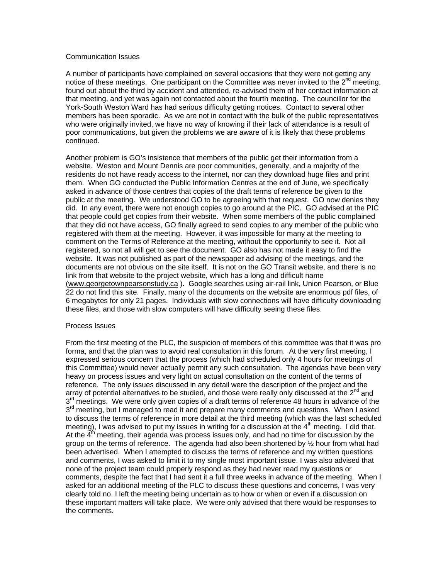## Communication Issues

A number of participants have complained on several occasions that they were not getting any notice of these meetings. One participant on the Committee was never invited to the  $2^{nd}$  meeting, found out about the third by accident and attended, re-advised them of her contact information at that meeting, and yet was again not contacted about the fourth meeting. The councillor for the York-South Weston Ward has had serious difficulty getting notices. Contact to several other members has been sporadic. As we are not in contact with the bulk of the public representatives who were originally invited, we have no way of knowing if their lack of attendance is a result of poor communications, but given the problems we are aware of it is likely that these problems continued.

Another problem is GO's insistence that members of the public get their information from a website. Weston and Mount Dennis are poor communities, generally, and a majority of the residents do not have ready access to the internet, nor can they download huge files and print them. When GO conducted the Public Information Centres at the end of June, we specifically asked in advance of those centres that copies of the draft terms of reference be given to the public at the meeting. We understood GO to be agreeing with that request. GO now denies they did. In any event, there were not enough copies to go around at the PIC. GO advised at the PIC that people could get copies from their website. When some members of the public complained that they did not have access, GO finally agreed to send copies to any member of the public who registered with them at the meeting. However, it was impossible for many at the meeting to comment on the Terms of Reference at the meeting, without the opportunity to see it. Not all registered, so not all will get to see the document. GO also has not made it easy to find the website. It was not published as part of the newspaper ad advising of the meetings, and the documents are not obvious on the site itself. It is not on the GO Transit website, and there is no link from that website to the project website, which has a long and difficult name (www.georgetownpearsonstudy.ca ). Google searches using air-rail link, Union Pearson, or Blue 22 do not find this site. Finally, many of the documents on the website are enormous pdf files, of 6 megabytes for only 21 pages. Individuals with slow connections will have difficulty downloading these files, and those with slow computers will have difficulty seeing these files.

## Process Issues

From the first meeting of the PLC, the suspicion of members of this committee was that it was pro forma, and that the plan was to avoid real consultation in this forum. At the very first meeting, I expressed serious concern that the process (which had scheduled only 4 hours for meetings of this Committee) would never actually permit any such consultation. The agendas have been very heavy on process issues and very light on actual consultation on the content of the terms of reference. The only issues discussed in any detail were the description of the project and the array of potential alternatives to be studied, and those were really only discussed at the 2<sup>nd</sup> and  $3<sup>rd</sup>$  meetings. We were only given copies of a draft terms of reference 48 hours in advance of the 3<sup>rd</sup> meeting, but I managed to read it and prepare many comments and questions. When I asked to discuss the terms of reference in more detail at the third meeting (which was the last scheduled meeting), I was advised to put my issues in writing for a discussion at the  $4<sup>th</sup>$  meeting. I did that. At the  $4<sup>th</sup>$  meeting, their agenda was process issues only, and had no time for discussion by the group on the terms of reference. The agenda had also been shortened by ½ hour from what had been advertised. When I attempted to discuss the terms of reference and my written questions and comments, I was asked to limit it to my single most important issue. I was also advised that none of the project team could properly respond as they had never read my questions or comments, despite the fact that I had sent it a full three weeks in advance of the meeting. When I asked for an additional meeting of the PLC to discuss these questions and concerns, I was very clearly told no. I left the meeting being uncertain as to how or when or even if a discussion on these important matters will take place. We were only advised that there would be responses to the comments.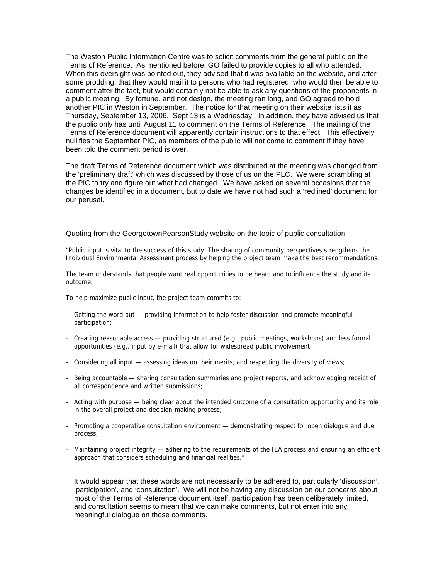The Weston Public Information Centre was to solicit comments from the general public on the Terms of Reference. As mentioned before, GO failed to provide copies to all who attended. When this oversight was pointed out, they advised that it was available on the website, and after some prodding, that they would mail it to persons who had registered, who would then be able to comment after the fact, but would certainly not be able to ask any questions of the proponents in a public meeting. By fortune, and not design, the meeting ran long, and GO agreed to hold another PIC in Weston in September. The notice for that meeting on their website lists it as Thursday, September 13, 2006. Sept 13 is a Wednesday. In addition, they have advised us that the public only has until August 11 to comment on the Terms of Reference. The mailing of the Terms of Reference document will apparently contain instructions to that effect. This effectively nullifies the September PIC, as members of the public will not come to comment if they have been told the comment period is over.

The draft Terms of Reference document which was distributed at the meeting was changed from the 'preliminary draft' which was discussed by those of us on the PLC. We were scrambling at the PIC to try and figure out what had changed. We have asked on several occasions that the changes be identified in a document, but to date we have not had such a 'redlined' document for our perusal.

Quoting from the GeorgetownPearsonStudy website on the topic of public consultation –

"Public input is vital to the success of this study. The sharing of community perspectives strengthens the Individual Environmental Assessment process by helping the project team make the best recommendations.

The team understands that people want real opportunities to be heard and to influence the study and its outcome.

To help maximize public input, the project team commits to:

- Getting the word out providing information to help foster discussion and promote meaningful participation;
- Creating reasonable access providing structured (e.g., public meetings, workshops) and less formal opportunities (e.g., input by e-mail) that allow for widespread public involvement;
- Considering all input assessing ideas on their merits, and respecting the diversity of views;
- Being accountable sharing consultation summaries and project reports, and acknowledging receipt of all correspondence and written submissions;
- Acting with purpose being clear about the intended outcome of a consultation opportunity and its role in the overall project and decision-making process;
- Promoting a cooperative consultation environment demonstrating respect for open dialogue and due process;
- Maintaining project integrity adhering to the requirements of the IEA process and ensuring an efficient approach that considers scheduling and financial realities."

It would appear that these words are not necessarily to be adhered to, particularly 'discussion', 'participation', and 'consultation'. We will not be having any discussion on our concerns about most of the Terms of Reference document itself, participation has been deliberately limited, and consultation seems to mean that we can make comments, but not enter into any meaningful dialogue on those comments.